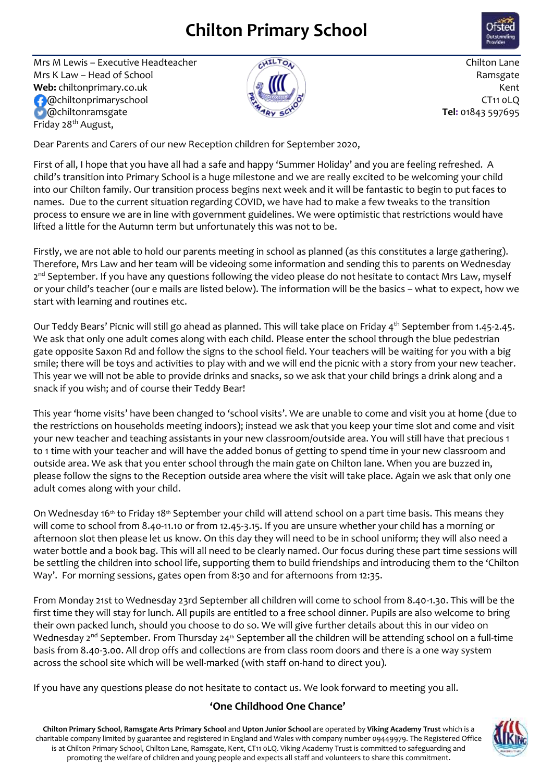## **Chilton Primary School**



Mrs M Lewis – Executive Headteacher  $\sqrt{N^{12}C_{0.}}$  Chilton Lane Mrs K Law – Head of School  $\overline{M}$ **Web:** chiltonprimary.co.uk Kent Commander CT11 0LQ @chiltonramsgate **Tel:** 01843 597695 Friday 28<sup>th</sup> August,



Dear Parents and Carers of our new Reception children for September 2020,

First of all, I hope that you have all had a safe and happy 'Summer Holiday' and you are feeling refreshed. A child's transition into Primary School is a huge milestone and we are really excited to be welcoming your child into our Chilton family. Our transition process begins next week and it will be fantastic to begin to put faces to names. Due to the current situation regarding COVID, we have had to make a few tweaks to the transition process to ensure we are in line with government guidelines. We were optimistic that restrictions would have lifted a little for the Autumn term but unfortunately this was not to be.

Firstly, we are not able to hold our parents meeting in school as planned (as this constitutes a large gathering). Therefore, Mrs Law and her team will be videoing some information and sending this to parents on Wednesday 2<sup>nd</sup> September. If you have any questions following the video please do not hesitate to contact Mrs Law, myself or your child's teacher (our e mails are listed below). The information will be the basics – what to expect, how we start with learning and routines etc.

Our Teddy Bears' Picnic will still go ahead as planned. This will take place on Friday 4<sup>th</sup> September from 1.45-2.45. We ask that only one adult comes along with each child. Please enter the school through the blue pedestrian gate opposite Saxon Rd and follow the signs to the school field. Your teachers will be waiting for you with a big smile; there will be toys and activities to play with and we will end the picnic with a story from your new teacher. This year we will not be able to provide drinks and snacks, so we ask that your child brings a drink along and a snack if you wish; and of course their Teddy Bear!

This year 'home visits' have been changed to 'school visits'. We are unable to come and visit you at home (due to the restrictions on households meeting indoors); instead we ask that you keep your time slot and come and visit your new teacher and teaching assistants in your new classroom/outside area. You will still have that precious 1 to 1 time with your teacher and will have the added bonus of getting to spend time in your new classroom and outside area. We ask that you enter school through the main gate on Chilton lane. When you are buzzed in, please follow the signs to the Reception outside area where the visit will take place. Again we ask that only one adult comes along with your child.

On Wednesday 16th to Friday 18th September your child will attend school on a part time basis. This means they will come to school from 8.40-11.10 or from 12.45-3.15. If you are unsure whether your child has a morning or afternoon slot then please let us know. On this day they will need to be in school uniform; they will also need a water bottle and a book bag. This will all need to be clearly named. Our focus during these part time sessions will be settling the children into school life, supporting them to build friendships and introducing them to the 'Chilton Way'. For morning sessions, gates open from 8:30 and for afternoons from 12:35.

From Monday 21st to Wednesday 23rd September all children will come to school from 8.40-1.30. This will be the first time they will stay for lunch. All pupils are entitled to a free school dinner. Pupils are also welcome to bring their own packed lunch, should you choose to do so. We will give further details about this in our video on Wednesday  $2^{nd}$  September. From Thursday  $24^{th}$  September all the children will be attending school on a full-time basis from 8.40-3.00. All drop offs and collections are from class room doors and there is a one way system across the school site which will be well-marked (with staff on-hand to direct you).

If you have any questions please do not hesitate to contact us. We look forward to meeting you all.

## **'One Childhood One Chance'**

**Chilton Primary School**, **Ramsgate Arts Primary School** and **Upton Junior School** are operated by **Viking Academy Trust** which is a charitable company limited by guarantee and registered in England and Wales with company number 09449979. The Registered Office is at Chilton Primary School, Chilton Lane, Ramsgate, Kent, CT11 0LQ. Viking Academy Trust is committed to safeguarding and promoting the welfare of children and young people and expects all staff and volunteers to share this commitment.